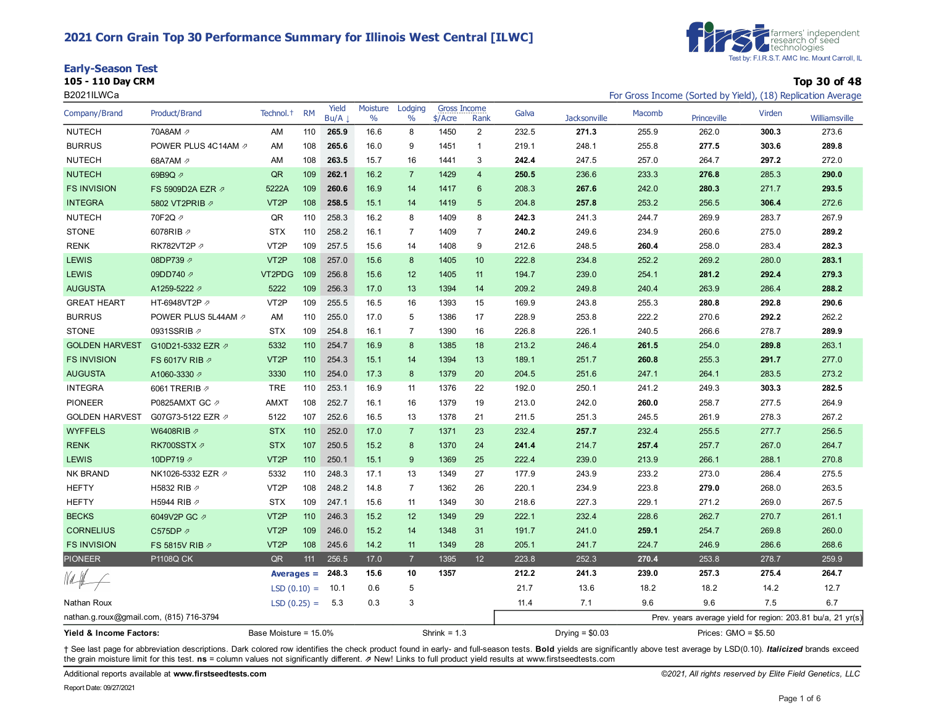### **2021 Corn Grain Top 30 Performance Summary for Illinois West Central [ILWC]**





**105 - 110 Day CRM Top 30 of 48**

| B2021ILWCa                              |                     |                       |           |               |                  |                  |                           |                |       |                     |        |                       |        | For Gross Income (Sorted by Yield), (18) Replication Average |
|-----------------------------------------|---------------------|-----------------------|-----------|---------------|------------------|------------------|---------------------------|----------------|-------|---------------------|--------|-----------------------|--------|--------------------------------------------------------------|
| Company/Brand                           | Product/Brand       | Technol. <sup>+</sup> | <b>RM</b> | Yield<br>Bu/A | Moisture<br>$\%$ | Lodging<br>$\%$  | Gross Income<br>$$/$ Acre | Rank           | Galva | <b>Jacksonville</b> | Macomb | Princeville           | Virden | Williamsville                                                |
| <b>NUTECH</b>                           | 70A8AM 2            | AM                    | 110       | 265.9         | 16.6             | 8                | 1450                      | $\overline{2}$ | 232.5 | 271.3               | 255.9  | 262.0                 | 300.3  | 273.6                                                        |
| <b>BURRUS</b>                           | POWER PLUS 4C14AM 2 | AM                    | 108       | 265.6         | 16.0             | 9                | 1451                      | 1              | 219.1 | 248.1               | 255.8  | 277.5                 | 303.6  | 289.8                                                        |
| <b>NUTECH</b>                           | 68A7AM ク            | AM                    | 108       | 263.5         | 15.7             | 16               | 1441                      | 3              | 242.4 | 247.5               | 257.0  | 264.7                 | 297.2  | 272.0                                                        |
| <b>NUTECH</b>                           | 69B9Q 2             | QR                    | 109       | 262.1         | 16.2             | $\overline{7}$   | 1429                      | $\overline{4}$ | 250.5 | 236.6               | 233.3  | 276.8                 | 285.3  | 290.0                                                        |
| <b>FS INVISION</b>                      | FS 5909D2A EZR 2    | 5222A                 | 109       | 260.6         | 16.9             | 14               | 1417                      | 6              | 208.3 | 267.6               | 242.0  | 280.3                 | 271.7  | 293.5                                                        |
| <b>INTEGRA</b>                          | 5802 VT2PRIB 2      | VT <sub>2</sub> P     | 108       | 258.5         | 15.1             | 14               | 1419                      | 5              | 204.8 | 257.8               | 253.2  | 256.5                 | 306.4  | 272.6                                                        |
| <b>NUTECH</b>                           | 70F2Q A             | QR                    | 110       | 258.3         | 16.2             | 8                | 1409                      | 8              | 242.3 | 241.3               | 244.7  | 269.9                 | 283.7  | 267.9                                                        |
| <b>STONE</b>                            | 6078RIB 2           | <b>STX</b>            | 110       | 258.2         | 16.1             | 7                | 1409                      | $\overline{7}$ | 240.2 | 249.6               | 234.9  | 260.6                 | 275.0  | 289.2                                                        |
| <b>RENK</b>                             | RK782VT2P 2         | VT <sub>2</sub> P     | 109       | 257.5         | 15.6             | 14               | 1408                      | 9              | 212.6 | 248.5               | 260.4  | 258.0                 | 283.4  | 282.3                                                        |
| <b>LEWIS</b>                            | 08DP739 2           | VT <sub>2</sub> P     | 108       | 257.0         | 15.6             | 8                | 1405                      | 10             | 222.8 | 234.8               | 252.2  | 269.2                 | 280.0  | 283.1                                                        |
| <b>LEWIS</b>                            | 09DD740 2           | VT2PDG                | 109       | 256.8         | 15.6             | 12               | 1405                      | 11             | 194.7 | 239.0               | 254.1  | 281.2                 | 292.4  | 279.3                                                        |
| <b>AUGUSTA</b>                          | A1259-5222 7        | 5222                  | 109       | 256.3         | 17.0             | 13               | 1394                      | 14             | 209.2 | 249.8               | 240.4  | 263.9                 | 286.4  | 288.2                                                        |
| <b>GREAT HEART</b>                      | HT-6948VT2P 2       | VT <sub>2</sub> P     | 109       | 255.5         | 16.5             | 16               | 1393                      | 15             | 169.9 | 243.8               | 255.3  | 280.8                 | 292.8  | 290.6                                                        |
| <b>BURRUS</b>                           | POWER PLUS 5L44AM 2 | AM                    | 110       | 255.0         | 17.0             | 5                | 1386                      | 17             | 228.9 | 253.8               | 222.2  | 270.6                 | 292.2  | 262.2                                                        |
| <b>STONE</b>                            | 0931SSRIB 2         | <b>STX</b>            | 109       | 254.8         | 16.1             | $\overline{7}$   | 1390                      | 16             | 226.8 | 226.1               | 240.5  | 266.6                 | 278.7  | 289.9                                                        |
| <b>GOLDEN HARVEST</b>                   | G10D21-5332 EZR 2   | 5332                  | 110       | 254.7         | 16.9             | 8                | 1385                      | 18             | 213.2 | 246.4               | 261.5  | 254.0                 | 289.8  | 263.1                                                        |
| <b>FS INVISION</b>                      | FS 6017V RIB 2      | VT <sub>2</sub> P     | 110       | 254.3         | 15.1             | 14               | 1394                      | 13             | 189.1 | 251.7               | 260.8  | 255.3                 | 291.7  | 277.0                                                        |
| <b>AUGUSTA</b>                          | A1060-3330 2        | 3330                  | 110       | 254.0         | 17.3             | $\bf 8$          | 1379                      | 20             | 204.5 | 251.6               | 247.1  | 264.1                 | 283.5  | 273.2                                                        |
| <b>INTEGRA</b>                          | 6061 TRERIB 2       | <b>TRE</b>            | 110       | 253.1         | 16.9             | 11               | 1376                      | 22             | 192.0 | 250.1               | 241.2  | 249.3                 | 303.3  | 282.5                                                        |
| <b>PIONEER</b>                          | P0825AMXT GC 2      | <b>AMXT</b>           | 108       | 252.7         | 16.1             | 16               | 1379                      | 19             | 213.0 | 242.0               | 260.0  | 258.7                 | 277.5  | 264.9                                                        |
| <b>GOLDEN HARVEST</b>                   | G07G73-5122 EZR 2   | 5122                  | 107       | 252.6         | 16.5             | 13               | 1378                      | 21             | 211.5 | 251.3               | 245.5  | 261.9                 | 278.3  | 267.2                                                        |
| <b>WYFFELS</b>                          | W6408RIB 2          | <b>STX</b>            | 110       | 252.0         | 17.0             | $\overline{7}$   | 1371                      | 23             | 232.4 | 257.7               | 232.4  | 255.5                 | 277.7  | 256.5                                                        |
| <b>RENK</b>                             | RK700SSTX 2         | <b>STX</b>            | 107       | 250.5         | 15.2             | $\bf 8$          | 1370                      | 24             | 241.4 | 214.7               | 257.4  | 257.7                 | 267.0  | 264.7                                                        |
| <b>LEWIS</b>                            | 10DP719 2           | VT <sub>2</sub> P     | 110       | 250.1         | 15.1             | $\boldsymbol{9}$ | 1369                      | 25             | 222.4 | 239.0               | 213.9  | 266.1                 | 288.1  | 270.8                                                        |
| NK BRAND                                | NK1026-5332 EZR Ø   | 5332                  | 110       | 248.3         | 17.1             | 13               | 1349                      | 27             | 177.9 | 243.9               | 233.2  | 273.0                 | 286.4  | 275.5                                                        |
| <b>HEFTY</b>                            | H5832 RIB 2         | VT <sub>2</sub> P     | 108       | 248.2         | 14.8             | $\overline{7}$   | 1362                      | 26             | 220.1 | 234.9               | 223.8  | 279.0                 | 268.0  | 263.5                                                        |
| <b>HEFTY</b>                            | H5944 RIB 2         | <b>STX</b>            | 109       | 247.1         | 15.6             | 11               | 1349                      | 30             | 218.6 | 227.3               | 229.1  | 271.2                 | 269.0  | 267.5                                                        |
| <b>BECKS</b>                            | 6049V2P GC 2        | VT <sub>2</sub> P     | 110       | 246.3         | 15.2             | 12               | 1349                      | 29             | 222.1 | 232.4               | 228.6  | 262.7                 | 270.7  | 261.1                                                        |
| <b>CORNELIUS</b>                        | C575DP の            | VT <sub>2</sub> P     | 109       | 246.0         | 15.2             | 14               | 1348                      | 31             | 191.7 | 241.0               | 259.1  | 254.7                 | 269.8  | 260.0                                                        |
| <b>FS INVISION</b>                      | FS 5815V RIB 2      | VT <sub>2</sub> P     | 108       | 245.6         | 14.2             | 11               | 1349                      | 28             | 205.1 | 241.7               | 224.7  | 246.9                 | 286.6  | 268.6                                                        |
| <b>PIONEER</b>                          | <b>P1108Q CK</b>    | QR                    | 111       | 256.5         | 17.0             | $\overline{7}$   | 1395                      | 12             | 223.8 | 252.3               | 270.4  | 253.8                 | 278.7  | 259.9                                                        |
|                                         |                     | Averages $=$          |           | 248.3         | 15.6             | 10               | 1357                      |                | 212.2 | 241.3               | 239.0  | 257.3                 | 275.4  | 264.7                                                        |
|                                         |                     | $LSD(0.10) =$         |           | 10.1          | 0.6              | 5                |                           |                | 21.7  | 13.6                | 18.2   | 18.2                  | 14.2   | 12.7                                                         |
| Nathan Roux                             |                     | $LSD(0.25) = 5.3$     |           |               | 0.3              | 3                |                           |                | 11.4  | 7.1                 | 9.6    | 9.6                   | 7.5    | 6.7                                                          |
| nathan.g.roux@gmail.com, (815) 716-3794 |                     |                       |           |               |                  |                  |                           |                |       |                     |        |                       |        | Prev. years average yield for region: 203.81 bu/a, 21 yr(s)  |
| Yield & Income Factors:                 |                     | Base Moisture = 15.0% |           |               |                  |                  | Shrink = $1.3$            |                |       | Drying $= $0.03$    |        | Prices: $GMO = $5.50$ |        |                                                              |

+ See last page for abbreviation descriptions. Dark colored row identifies the check product found in early- and full-season tests. Bold yields are significantly above test average by LSD(0.10). Italicized brands exceed the grain moisture limit for this test. **ns** = column values not significantly different. ⇗ New! Links to full product yield results at www.firstseedtests.com

Additional reports available at **[www.firstseedtests.com](https://www.firstseedtests.com)** *©2021, All rights reserved by Elite Field Genetics, LLC*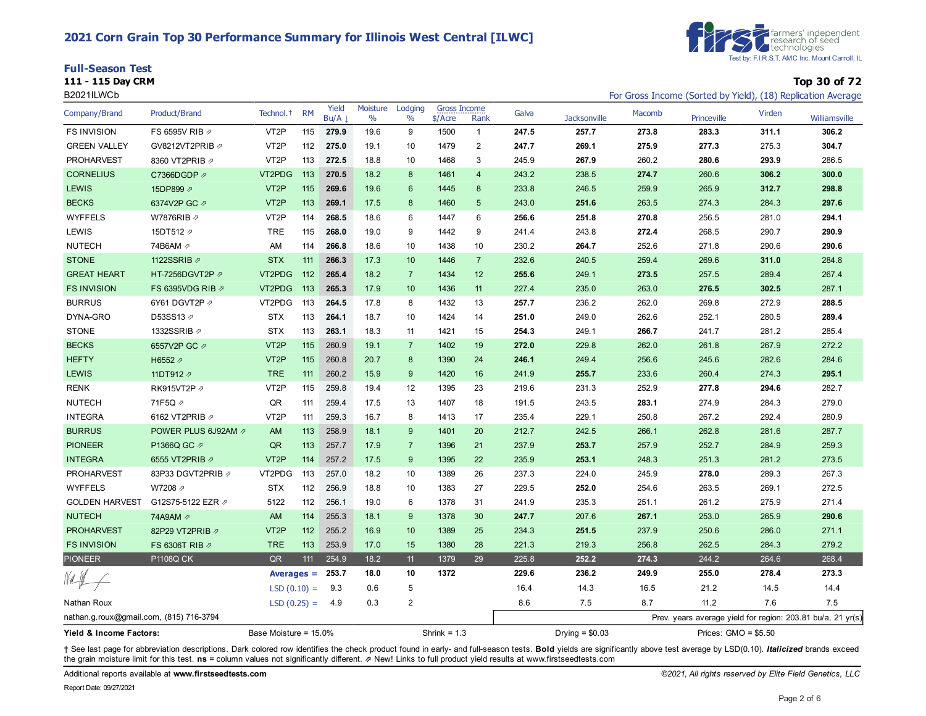## **2021 Corn Grain Top 30 Performance Summary for Illinois West Central [ILWC]**

| <b>Full-Season Test</b>                                                                                                                                                                                                                                   |              |
|-----------------------------------------------------------------------------------------------------------------------------------------------------------------------------------------------------------------------------------------------------------|--------------|
| 111 - 115 Day CRM<br><u>in the contract of the contract of the contract of the contract of the contract of the contract of the contract of the contract of the contract of the contract of the contract of the contract of the contract of the contra</u> | Top 30 of 72 |



| B2021ILWCb                              |                      |                       |           |               |                  |                          |                                  |                |       |                     |        |                      |        | For Gross Income (Sorted by Yield), (18) Replication Average |
|-----------------------------------------|----------------------|-----------------------|-----------|---------------|------------------|--------------------------|----------------------------------|----------------|-------|---------------------|--------|----------------------|--------|--------------------------------------------------------------|
| Company/Brand                           | <b>Product/Brand</b> | Technol. <sup>+</sup> | <b>RM</b> | Yield<br>Bu/A | Moisture<br>$\%$ | Lodging<br>$\frac{0}{0}$ | <b>Gross Income</b><br>$$/$ Acre | Rank           | Galva | <b>Jacksonville</b> | Macomb | Princeville          | Virden | Williamsville                                                |
| <b>FS INVISION</b>                      | FS 6595V RIB 2       | VT <sub>2</sub> P     | 115       | 279.9         | 19.6             | 9                        | 1500                             | $\mathbf{1}$   | 247.5 | 257.7               | 273.8  | 283.3                | 311.1  | 306.2                                                        |
| <b>GREEN VALLEY</b>                     | GV8212VT2PRIB ク      | VT <sub>2</sub> P     | 112       | 275.0         | 19.1             | 10                       | 1479                             | $\overline{c}$ | 247.7 | 269.1               | 275.9  | 277.3                | 275.3  | 304.7                                                        |
| <b>PROHARVEST</b>                       | 8360 VT2PRIB 2       | VT <sub>2</sub> P     | 113       | 272.5         | 18.8             | 10                       | 1468                             | 3              | 245.9 | 267.9               | 260.2  | 280.6                | 293.9  | 286.5                                                        |
| <b>CORNELIUS</b>                        | C7366DGDP 2          | VT2PDG                | 113       | 270.5         | 18.2             | 8                        | 1461                             | $\overline{4}$ | 243.2 | 238.5               | 274.7  | 260.6                | 306.2  | 300.0                                                        |
| <b>LEWIS</b>                            | 15DP899 2            | VT <sub>2</sub> P     | 115       | 269.6         | 19.6             | 6                        | 1445                             | 8              | 233.8 | 246.5               | 259.9  | 265.9                | 312.7  | 298.8                                                        |
| <b>BECKS</b>                            | 6374V2P GC 2         | VT <sub>2</sub> P     | 113       | 269.1         | 17.5             | 8                        | 1460                             | 5              | 243.0 | 251.6               | 263.5  | 274.3                | 284.3  | 297.6                                                        |
| <b>WYFFELS</b>                          | W7876RIB 2           | VT <sub>2</sub> P     | 114       | 268.5         | 18.6             | 6                        | 1447                             | 6              | 256.6 | 251.8               | 270.8  | 256.5                | 281.0  | 294.1                                                        |
| LEWIS                                   | 15DT512 2            | <b>TRE</b>            | 115       | 268.0         | 19.0             | 9                        | 1442                             | 9              | 241.4 | 243.8               | 272.4  | 268.5                | 290.7  | 290.9                                                        |
| <b>NUTECH</b>                           | 74B6AM 2             | AM                    | 114       | 266.8         | 18.6             | 10                       | 1438                             | 10             | 230.2 | 264.7               | 252.6  | 271.8                | 290.6  | 290.6                                                        |
| <b>STONE</b>                            | 1122SSRIB 2          | <b>STX</b>            | 111       | 266.3         | 17.3             | 10                       | 1446                             | $\overline{7}$ | 232.6 | 240.5               | 259.4  | 269.6                | 311.0  | 284.8                                                        |
| <b>GREAT HEART</b>                      | HT-7256DGVT2P 2      | VT2PDG                | 112       | 265.4         | 18.2             | $\overline{7}$           | 1434                             | 12             | 255.6 | 249.1               | 273.5  | 257.5                | 289.4  | 267.4                                                        |
| <b>FS INVISION</b>                      | FS 6395VDG RIB 2     | VT2PDG                | $-113$    | 265.3         | 17.9             | 10                       | 1436                             | 11             | 227.4 | 235.0               | 263.0  | 276.5                | 302.5  | 287.1                                                        |
| <b>BURRUS</b>                           | 6Y61 DGVT2P 2        | VT2PDG 113            |           | 264.5         | 17.8             | 8                        | 1432                             | 13             | 257.7 | 236.2               | 262.0  | 269.8                | 272.9  | 288.5                                                        |
| DYNA-GRO                                | D53SS13 7            | <b>STX</b>            | 113       | 264.1         | 18.7             | 10                       | 1424                             | 14             | 251.0 | 249.0               | 262.6  | 252.1                | 280.5  | 289.4                                                        |
| <b>STONE</b>                            | 1332SSRIB 2          | <b>STX</b>            | 113       | 263.1         | 18.3             | 11                       | 1421                             | 15             | 254.3 | 249.1               | 266.7  | 241.7                | 281.2  | 285.4                                                        |
| <b>BECKS</b>                            | 6557V2P GC 2         | VT <sub>2</sub> P     | 115       | 260.9         | 19.1             | $\overline{7}$           | 1402                             | 19             | 272.0 | 229.8               | 262.0  | 261.8                | 267.9  | 272.2                                                        |
| <b>HEFTY</b>                            | H6552 2              | VT <sub>2</sub> P     | 115       | 260.8         | 20.7             | 8                        | 1390                             | 24             | 246.1 | 249.4               | 256.6  | 245.6                | 282.6  | 284.6                                                        |
| <b>LEWIS</b>                            | 11DT912 2            | <b>TRE</b>            | 111       | 260.2         | 15.9             | 9                        | 1420                             | 16             | 241.9 | 255.7               | 233.6  | 260.4                | 274.3  | 295.1                                                        |
| <b>RENK</b>                             | RK915VT2P 2          | VT <sub>2</sub> P     | 115       | 259.8         | 19.4             | 12                       | 1395                             | 23             | 219.6 | 231.3               | 252.9  | 277.8                | 294.6  | 282.7                                                        |
| <b>NUTECH</b>                           | 71F5Q 2              | QR                    | 111       | 259.4         | 17.5             | 13                       | 1407                             | 18             | 191.5 | 243.5               | 283.1  | 274.9                | 284.3  | 279.0                                                        |
| <b>INTEGRA</b>                          | 6162 VT2PRIB 2       | VT <sub>2</sub> P     | 111       | 259.3         | 16.7             | 8                        | 1413                             | 17             | 235.4 | 229.1               | 250.8  | 267.2                | 292.4  | 280.9                                                        |
| <b>BURRUS</b>                           | POWER PLUS 6J92AM 2  | AM                    | 113       | 258.9         | 18.1             | $9\,$                    | 1401                             | 20             | 212.7 | 242.5               | 266.1  | 262.8                | 281.6  | 287.7                                                        |
| <b>PIONEER</b>                          | P1366Q GC 2          | QR                    | 113       | 257.7         | 17.9             | $\overline{7}$           | 1396                             | 21             | 237.9 | 253.7               | 257.9  | 252.7                | 284.9  | 259.3                                                        |
| <b>INTEGRA</b>                          | 6555 VT2PRIB 2       | VT <sub>2</sub> P     | 114       | 257.2         | 17.5             | 9                        | 1395                             | 22             | 235.9 | 253.1               | 248.3  | 251.3                | 281.2  | 273.5                                                        |
| <b>PROHARVEST</b>                       | 83P33 DGVT2PRIB 2    | VT2PDG                | 113       | 257.0         | 18.2             | 10                       | 1389                             | 26             | 237.3 | 224.0               | 245.9  | 278.0                | 289.3  | 267.3                                                        |
| <b>WYFFELS</b>                          | W7208 2              | <b>STX</b>            | 112       | 256.9         | 18.8             | 10                       | 1383                             | 27             | 229.5 | 252.0               | 254.6  | 263.5                | 269.1  | 272.5                                                        |
| <b>GOLDEN HARVEST</b>                   | G12S75-5122 EZR 2    | 5122                  | 112       | 256.1         | 19.0             | 6                        | 1378                             | 31             | 241.9 | 235.3               | 251.1  | 261.2                | 275.9  | 271.4                                                        |
| <b>NUTECH</b>                           | 74A9AM 2             | AM                    | 114       | 255.3         | 18.1             | 9                        | 1378                             | 30             | 247.7 | 207.6               | 267.1  | 253.0                | 265.9  | 290.6                                                        |
| <b>PROHARVEST</b>                       | 82P29 VT2PRIB 2      | VT <sub>2</sub> P     | 112       | 255.2         | 16.9             | 10                       | 1389                             | 25             | 234.3 | 251.5               | 237.9  | 250.6                | 286.0  | 271.1                                                        |
| <b>FS INVISION</b>                      | FS 6306T RIB 2       | <b>TRE</b>            | 113       | 253.9         | 17.0             | 15                       | 1380                             | 28             | 221.3 | 219.3               | 256.8  | 262.5                | 284.3  | 279.2                                                        |
| <b>PIONEER</b>                          | P1108Q CK            | QR                    | 111       | 254.9         | 18.2             | 11                       | 1379                             | 29             | 225.8 | 252.2               | 274.3  | 244.2                | 264.6  | 268.4                                                        |
|                                         |                      | Averages $=$          |           | 253.7         | 18.0             | 10                       | 1372                             |                | 229.6 | 236.2               | 249.9  | 255.0                | 278.4  | 273.3                                                        |
|                                         |                      | $LSD(0.10) =$         |           | 9.3           | 0.6              | 5                        |                                  |                | 16.4  | 14.3                | 16.5   | 21.2                 | 14.5   | 14.4                                                         |
| Nathan Roux                             |                      | $LSD(0.25) =$         |           | 4.9           | 0.3              | 2                        |                                  |                | 8.6   | 7.5                 | 8.7    | 11.2                 | 7.6    | 7.5                                                          |
| nathan.g.roux@gmail.com, (815) 716-3794 |                      |                       |           |               |                  |                          |                                  |                |       |                     |        |                      |        | Prev. years average yield for region: 203.81 bu/a, 21 yr(s)  |
| Yield & Income Factors:                 |                      | Base Moisture = 15.0% |           |               |                  |                          | Shrink = $1.3$                   |                |       | Drying $= $0.03$    |        | Prices: GMO = \$5.50 |        |                                                              |

+ See last page for abbreviation descriptions. Dark colored row identifies the check product found in early- and full-season tests. Bold yields are significantly above test average by LSD(0.10). Italicized brands exceed the grain moisture limit for this test. **ns** = column values not significantly different. ⇗ New! Links to full product yield results at www.firstseedtests.com

Additional reports available at **[www.firstseedtests.com](https://www.firstseedtests.com)** *©2021, All rights reserved by Elite Field Genetics, LLC*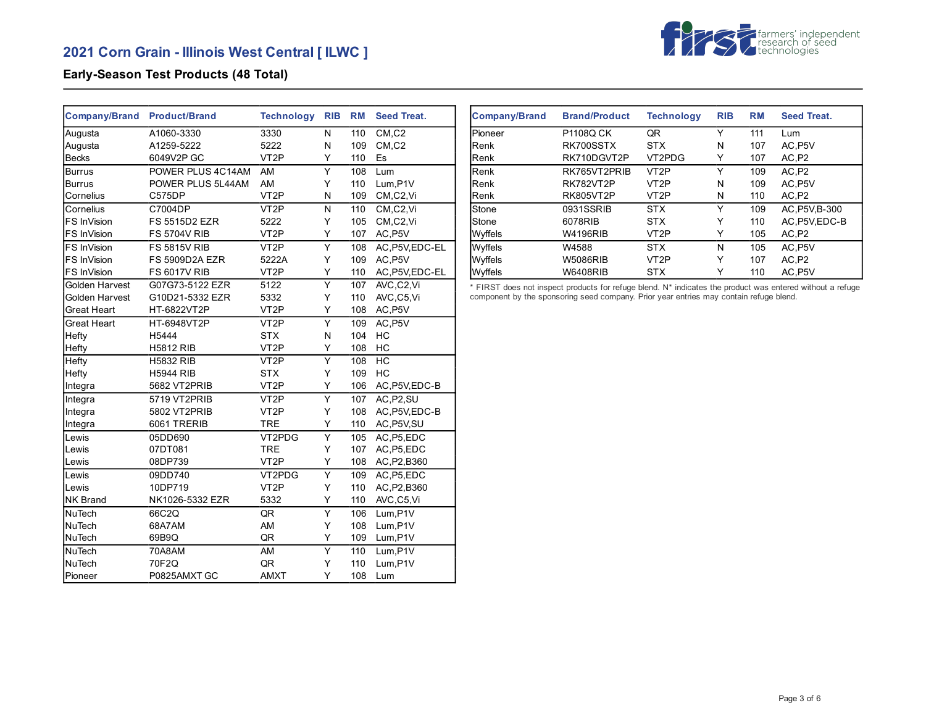

# **Early-Season Test Products (48 Total)**

| <b>Company/Brand</b> | <b>Product/Brand</b>  | <b>Technology</b> | <b>RIB</b>     | <b>RM</b> | <b>Seed Treat.</b>               |
|----------------------|-----------------------|-------------------|----------------|-----------|----------------------------------|
| Augusta              | A1060-3330            | 3330              | N              | 110       | CM, C2                           |
| Augusta              | A1259-5222            | 5222              | N              | 109       | $CM$ <sub>,<math>C2</math></sub> |
| <b>Becks</b>         | 6049V2P GC            | VT <sub>2</sub> P | Y              | 110       | Es                               |
| <b>Burrus</b>        | POWER PLUS 4C14AM     | AM                | Y              | 108       | Lum                              |
| <b>Burrus</b>        | POWER PLUS 5L44AM     | AM                | Y              | 110       | Lum, P1V                         |
| Cornelius            | C575DP                | VT <sub>2</sub> P | N              | 109       | CM,C2,Vi                         |
| Cornelius            | C7004DP               | VT <sub>2</sub> P | N              | 110       | CM,C2,Vi                         |
| FS InVision          | <b>FS 5515D2 EZR</b>  | 5222              | Y              | 105       | CM,C2,Vi                         |
| FS InVision          | <b>FS 5704V RIB</b>   | VT <sub>2</sub> P | Y              | 107       | AC, P5V                          |
| FS InVision          | <b>FS 5815V RIB</b>   | VT <sub>2</sub> P | Y              | 108       | AC.P5V,EDC-EL                    |
| FS InVision          | <b>FS 5909D2A EZR</b> | 5222A             | Y              | 109       | AC, P5V                          |
| FS InVision          | <b>FS 6017V RIB</b>   | VT <sub>2</sub> P | Y              | 110       | AC, P5V, EDC-EL                  |
| Golden Harvest       | G07G73-5122 EZR       | 5122              | Υ              | 107       | AVC,C2,Vi                        |
| Golden Harvest       | G10D21-5332 EZR       | 5332              | Y              | 110       | AVC,C5,Vi                        |
| Great Heart          | HT-6822VT2P           | VT <sub>2</sub> P | Y              | 108       | AC, P5V                          |
| Great Heart          | HT-6948VT2P           | VT <sub>2</sub> P | Y              | 109       | AC, P5V                          |
| Hefty                | H5444                 | <b>STX</b>        | N              | 104       | HC                               |
| Hefty                | <b>H5812 RIB</b>      | VT <sub>2</sub> P | Υ              | 108       | HC                               |
| Hefty                | <b>H5832 RIB</b>      | VT <sub>2</sub> P | Υ              | 108       | HC                               |
| Hefty                | <b>H5944 RIB</b>      | <b>STX</b>        | Y              | 109       | HC                               |
| Integra              | 5682 VT2PRIB          | VT <sub>2</sub> P | Y              | 106       | AC, P5V, EDC-B                   |
| Integra              | 5719 VT2PRIB          | VT <sub>2</sub> P | Y              | 107       | AC, P2, SU                       |
| Integra              | 5802 VT2PRIB          | VT <sub>2</sub> P | Y              | 108       | AC, P5V, EDC-B                   |
| Integra              | 6061 TRERIB           | <b>TRE</b>        | Υ              | 110       | AC, P5V, SU                      |
| Lewis                | 05DD690               | VT2PDG            | Υ              | 105       | AC, P5, EDC                      |
| Lewis                | 07DT081               | <b>TRE</b>        | Y              | 107       | AC, P5, EDC                      |
| Lewis                | 08DP739               | VT <sub>2</sub> P | Y              | 108       | AC, P2, B360                     |
| Lewis                | 09DD740               | VT2PDG            | Y              | 109       | AC, P5, EDC                      |
| Lewis                | 10DP719               | VT <sub>2</sub> P | Y              | 110       | AC, P2, B360                     |
| <b>NK Brand</b>      | NK1026-5332 EZR       | 5332              | Υ              | 110       | AVC,C5,Vi                        |
| <b>NuTech</b>        | 66C2Q                 | QR                | Y              | 106       | Lum, P1V                         |
| <b>NuTech</b>        | 68A7AM                | AM                | Y              | 108       | Lum,P1V                          |
| NuTech               | 69B9Q                 | QR                | Υ              | 109       | Lum, P1V                         |
| NuTech               | 70A8AM                | AM                | $\overline{Y}$ | 110       | Lum, P1V                         |
| <b>NuTech</b>        | 70F2Q                 | QR                | Y              | 110       | Lum, P1V                         |
| Pioneer              | P0825AMXT GC          | <b>AMXT</b>       | Y              | 108       | Lum                              |

| <b>Company/Brand</b> | <b>Brand/Product</b> | <b>Technology</b> | <b>RIB</b> | RM  | <b>Seed Treat.</b> |
|----------------------|----------------------|-------------------|------------|-----|--------------------|
| Pioneer              | <b>P1108Q CK</b>     | QR                | Y          | 111 | Lum                |
| Renk                 | RK700SSTX            | <b>STX</b>        | N          | 107 | AC.P5V             |
| Renk                 | RK710DGVT2P          | VT2PDG            | Y          | 107 | AC,P2              |
| <b>Renk</b>          | RK765VT2PRIB         | VT <sub>2</sub> P | Y          | 109 | AC.P2              |
| Renk                 | <b>RK782VT2P</b>     | VT <sub>2</sub> P | N          | 109 | AC.P5V             |
| Renk                 | <b>RK805VT2P</b>     | VT <sub>2</sub> P | N          | 110 | AC,P2              |
| Stone                | 0931SSRIB            | <b>STX</b>        | Υ          | 109 | AC, P5V, B-300     |
| Stone                | 6078RIB              | <b>STX</b>        | Y          | 110 | AC.P5V.EDC-B       |
| Wyffels              | <b>W4196RIB</b>      | VT <sub>2</sub> P | Y          | 105 | AC,P2              |
| Wyffels              | W4588                | <b>STX</b>        | N          | 105 | AC.P5V             |
| Wyffels              | <b>W5086RIB</b>      | VT <sub>2</sub> P | Y          | 107 | AC,P2              |
| <b>W</b> vffels      | <b>W6408RIB</b>      | <b>STX</b>        | Y          | 110 | AC.P5V             |

\* FIRST does not inspect products for refuge blend. N\* indicates the product was entered without a refuge component by the sponsoring seed company. Prior year entries may contain refuge blend.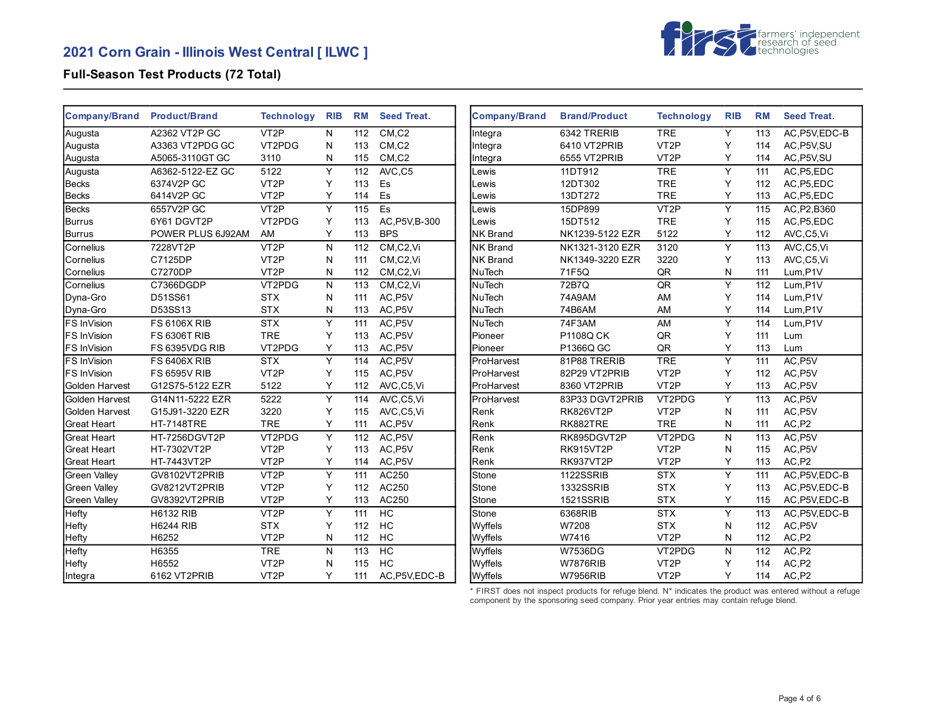

## **Full-Season Test Products (72 Total)**

| <b>Company/Brand</b> | <b>Product/Brand</b> | <b>Technology</b> | <b>RIB</b> | <b>RM</b> | <b>Seed Treat.</b> | <b>Company/Brand</b> | <b>Brand/Product</b> | <b>Technology</b> | <b>RIB</b> | <b>RM</b> | <b>Seed Treat.</b> |
|----------------------|----------------------|-------------------|------------|-----------|--------------------|----------------------|----------------------|-------------------|------------|-----------|--------------------|
| Augusta              | A2362 VT2P GC        | VT <sub>2</sub> P | N          | 112       | CM, C2             | Integra              | 6342 TRERIB          | <b>TRE</b>        | Y          | 113       | AC.P5V.EDC-B       |
| Augusta              | A3363 VT2PDG GC      | VT2PDG            | N          | 113       | CM, C2             | Integra              | 6410 VT2PRIB         | VT <sub>2</sub> P | Y          | 114       | AC, P5V, SU        |
| Augusta              | A5065-3110GT GC      | 3110              | N          | 115       | CM, C2             | Integra              | 6555 VT2PRIB         | VT <sub>2</sub> P | Y          | 114       | AC, P5V, SU        |
| Augusta              | A6362-5122-EZ GC     | 5122              | Y          | 112       | AVC,C5             | Lewis                | 11DT912              | <b>TRE</b>        | Y          | 111       | AC.P5.EDC          |
| Becks                | 6374V2P GC           | VT <sub>2</sub> P | Y          | 113       | Es                 | Lewis                | 12DT302              | <b>TRE</b>        | Y          | 112       | AC, P5, EDC        |
| <b>Becks</b>         | 6414V2P GC           | VT <sub>2</sub> P | Y          | 114       | Es                 | Lewis                | 13DT272              | <b>TRE</b>        | Y          | 113       | AC, P5, EDC        |
| <b>Becks</b>         | 6557V2P GC           | VT <sub>2</sub> P | Y          | 115       | Es                 | Lewis                | 15DP899              | VT <sub>2</sub> P | Y          | 115       | AC, P2, B360       |
| Burrus               | 6Y61 DGVT2P          | VT2PDG            | Y          | 113       | AC, P5V, B-300     | Lewis                | 15DT512              | <b>TRE</b>        | Y          | 115       | AC, P5, EDC        |
| Burrus               | POWER PLUS 6J92AM    | AM                | Y          | 113       | <b>BPS</b>         | <b>NK Brand</b>      | NK1239-5122 EZR      | 5122              | Y          | 112       | AVC,C5,Vi          |
| Cornelius            | 7228VT2P             | VT <sub>2</sub> P | N          | 112       | CM, C2, VI         | <b>NK Brand</b>      | NK1321-3120 EZR      | 3120              | Y          | 113       | AVC,C5,Vi          |
| Cornelius            | C7125DP              | VT <sub>2</sub> P | N          | 111       | CM,C2,Vi           | <b>NK Brand</b>      | NK1349-3220 EZR      | 3220              | Υ          | 113       | AVC,C5,Vi          |
| Cornelius            | C7270DP              | VT <sub>2</sub> P | N          | 112       | CM,C2,Vi           | NuTech               | 71F5Q                | QR                | N          | 111       | Lum,P1V            |
| Cornelius            | C7366DGDP            | VT2PDG            | N          | 113       | CM,C2,Vi           | NuTech               | 72B7Q                | QR                | Y          | 112       | Lum,P1V            |
| Dyna-Gro             | D51SS61              | <b>STX</b>        | N          | 111       | AC, P5V            | <b>NuTech</b>        | 74A9AM               | AM                | Y          | 114       | Lum, P1V           |
| Dyna-Gro             | D53SS13              | <b>STX</b>        | N          | 113       | AC, P5V            | <b>NuTech</b>        | 74B6AM               | AM                | Y          | 114       | Lum,P1V            |
| <b>FS InVision</b>   | <b>FS 6106X RIB</b>  | <b>STX</b>        | Y          | 111       | AC, P5V            | <b>NuTech</b>        | 74F3AM               | AM                | Y          | 114       | Lum, P1V           |
| <b>FS InVision</b>   | <b>FS 6306T RIB</b>  | <b>TRE</b>        | Y          | 113       | AC, P5V            | Pioneer              | P1108Q CK            | QR                | Y          | 111       | Lum                |
| FS InVision          | FS 6395VDG RIB       | VT2PDG            | Y          | 113       | AC, P5V            | Pioneer              | P1366Q GC            | QR                | Y          | 113       | Lum                |
| <b>FS InVision</b>   | <b>FS 6406X RIB</b>  | <b>STX</b>        | Y          | 114       | AC, P5V            | ProHarvest           | 81P88 TRERIB         | <b>TRE</b>        | Y          | 111       | AC, P5V            |
| <b>FS InVision</b>   | <b>FS 6595V RIB</b>  | VT <sub>2</sub> P | Y          | 115       | AC, P5V            | ProHarvest           | 82P29 VT2PRIB        | VT <sub>2</sub> P | Y          | 112       | AC, P5V            |
| Golden Harvest       | G12S75-5122 EZR      | 5122              | Y          | 112       | AVC,C5,Vi          | ProHarvest           | 8360 VT2PRIB         | VT <sub>2</sub> P | Y          | 113       | AC, P5V            |
| Golden Harvest       | G14N11-5222 EZR      | 5222              | Y          | 114       | AVC,C5,Vi          | ProHarvest           | 83P33 DGVT2PRIB      | VT2PDG            | Y          | 113       | AC, P5V            |
| Golden Harvest       | G15J91-3220 EZR      | 3220              | Υ          | 115       | AVC,C5,Vi          | Renk                 | RK826VT2P            | VT <sub>2</sub> P | N          | 111       | AC, P5V            |
| <b>Great Heart</b>   | <b>HT-7148TRE</b>    | <b>TRE</b>        | Y          | 111       | AC, P5V            | Renk                 | RK882TRE             | <b>TRE</b>        | Ν          | 111       | AC, P2             |
| Great Heart          | HT-7256DGVT2P        | VT2PDG            | Y          | 112       | AC, P5V            | Renk                 | RK895DGVT2P          | VT2PDG            | N          | 113       | AC, P5V            |
| <b>Great Heart</b>   | HT-7302VT2P          | VT <sub>2</sub> P | Y          | 113       | AC, P5V            | Renk                 | RK915VT2P            | VT <sub>2</sub> P | N          | 115       | AC, P5V            |
| <b>Great Heart</b>   | HT-7443VT2P          | VT <sub>2</sub> P | Y          | 114       | AC, P5V            | Renk                 | RK937VT2P            | VT <sub>2</sub> P | Y          | 113       | AC,P2              |
| <b>Green Vallev</b>  | GV8102VT2PRIB        | VT <sub>2</sub> P | Y          | 111       | AC250              | Stone                | 1122SSRIB            | <b>STX</b>        | Y          | 111       | AC, P5V, EDC-B     |
| <b>Green Valley</b>  | GV8212VT2PRIB        | VT <sub>2</sub> P | Y          | 112       | AC250              | Stone                | 1332SSRIB            | <b>STX</b>        | Y          | 113       | AC, P5V, EDC-B     |
| <b>Green Valley</b>  | GV8392VT2PRIB        | VT <sub>2</sub> P | Y          | 113       | AC250              | Stone                | 1521SSRIB            | <b>STX</b>        | Y          | 115       | AC, P5V, EDC-B     |
| <b>Hefty</b>         | <b>H6132 RIB</b>     | VT <sub>2</sub> P | Y          | 111       | HC                 | Stone                | 6368RIB              | <b>STX</b>        | Υ          | 113       | AC, P5V, EDC-B     |
| <b>Hefty</b>         | <b>H6244 RIB</b>     | <b>STX</b>        | Y          | 112       | <b>HC</b>          | Wyffels              | W7208                | <b>STX</b>        | N          | 112       | AC, P5V            |
| Hefty                | H6252                | VT <sub>2</sub> P | N          | 112       | <b>HC</b>          | Wyffels              | W7416                | VT <sub>2</sub> P | N          | 112       | AC,P2              |
| Hefty                | H6355                | <b>TRE</b>        | N          | 113       | H <sub>C</sub>     | Wyffels              | W7536DG              | VT2PDG            | N          | 112       | AC, P <sub>2</sub> |
| Hefty                | H6552                | VT <sub>2</sub> P | N          | 115       | <b>HC</b>          | Wyffels              | <b>W7876RIB</b>      | VT <sub>2</sub> P | Υ          | 114       | AC,P2              |
| Integra              | 6162 VT2PRIB         | VT <sub>2</sub> P | Y          | 111       | AC, P5V, EDC-B     | Wyffels              | <b>W7956RIB</b>      | VT <sub>2</sub> P | Y          | 114       | AC,P2              |

\* FIRST does not inspect products for refuge blend. N\* indicates the product was entered without a refuge component by the sponsoring seed company. Prior year entries may contain refuge blend.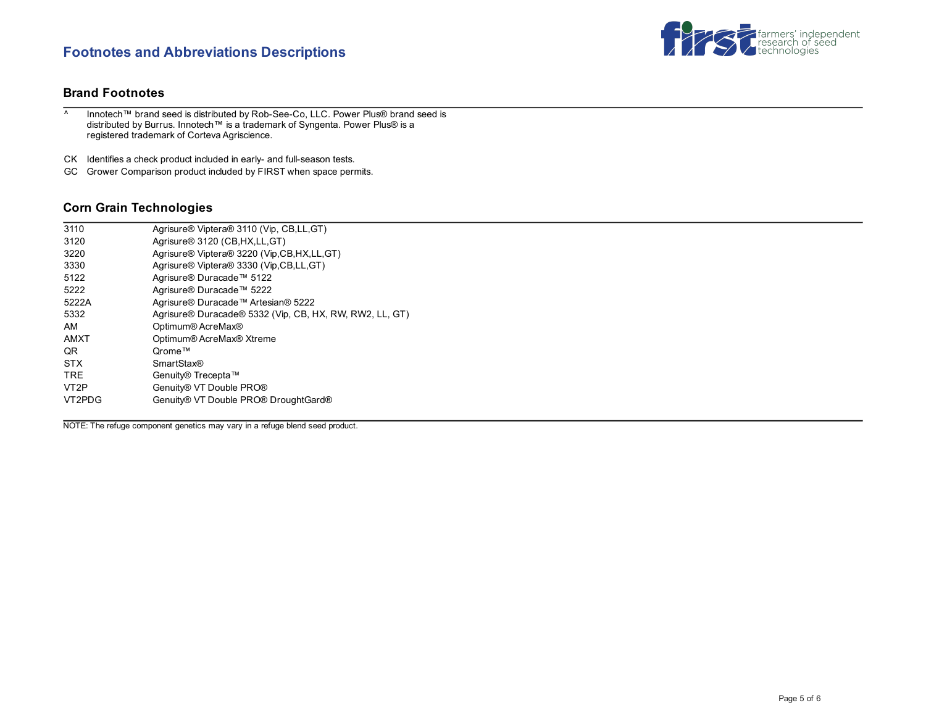# **Footnotes and Abbreviations Descriptions**



## **Brand Footnotes**

^ Innotech™ brand seed is distributed by Rob-See-Co, LLC. Power Plus® brand seed is distributed by Burrus. Innotech™ is a trademark of Syngenta. Power Plus® is a registered trademark of Corteva Agriscience.

CK Identifies a check product included in early- and full-season tests.

GC Grower Comparison product included by FIRST when space permits.

# **Corn Grain Technologies**

| 3110              | Agrisure <sup>®</sup> Viptera <sup>®</sup> 3110 (Vip, CB,LL, GT) |
|-------------------|------------------------------------------------------------------|
| 3120              | Agrisure <sup>®</sup> 3120 (CB, HX, LL, GT)                      |
| 3220              | Agrisure® Viptera® 3220 (Vip, CB, HX, LL, GT)                    |
| 3330              | Agrisure® Viptera® 3330 (Vip,CB,LL,GT)                           |
| 5122              | Agrisure® Duracade™ 5122                                         |
| 5222              | Agrisure® Duracade™ 5222                                         |
| 5222A             | Agrisure® Duracade™ Artesian® 5222                               |
| 5332              | Agrisure® Duracade® 5332 (Vip, CB, HX, RW, RW2, LL, GT)          |
| AM                | Optimum® AcreMax®                                                |
| AMXT              | Optimum® AcreMax® Xtreme                                         |
| QR                | Qrome™                                                           |
| <b>STX</b>        | <b>SmartStax®</b>                                                |
| TRE.              | Genuity® Trecepta™                                               |
| VT <sub>2</sub> P | Genuity® VT Double PRO®                                          |
| VT2PDG            | Genuity® VT Double PRO® DroughtGard®                             |
|                   |                                                                  |

NOTE: The refuge component genetics may vary in a refuge blend seed product.